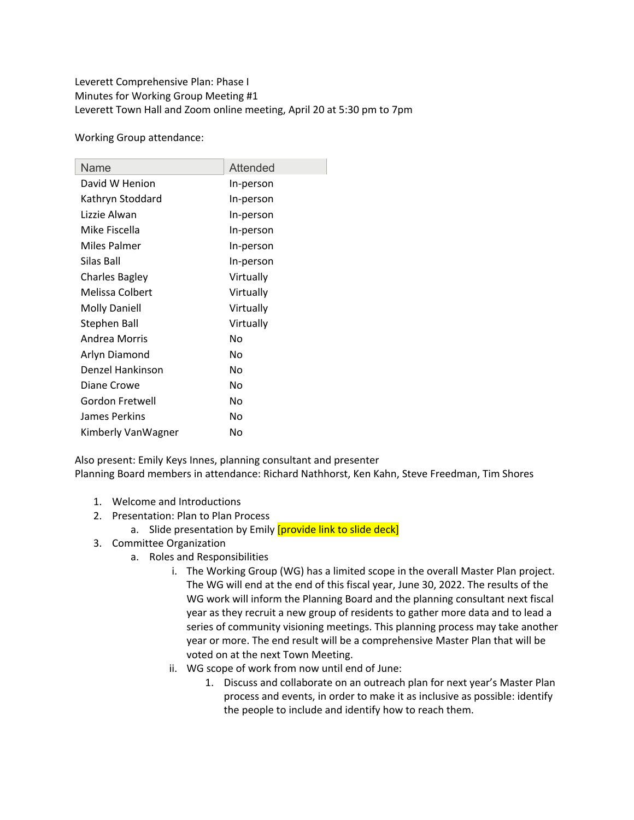Leverett Comprehensive Plan: Phase I Minutes for Working Group Meeting #1 Leverett Town Hall and Zoom online meeting, April 20 at 5:30 pm to 7pm

Working Group attendance:

| Name                  | Attended  |
|-----------------------|-----------|
| David W Henion        | In-person |
| Kathryn Stoddard      | In-person |
| Lizzie Alwan          | In-person |
| Mike Fiscella         | In-person |
| Miles Palmer          | In-person |
| Silas Ball            | In-person |
| <b>Charles Bagley</b> | Virtually |
| Melissa Colbert       | Virtually |
| <b>Molly Daniell</b>  | Virtually |
| <b>Stephen Ball</b>   | Virtually |
| Andrea Morris         | No        |
| Arlyn Diamond         | No        |
| Denzel Hankinson      | No        |
| Diane Crowe           | No        |
| Gordon Fretwell       | No        |
| James Perkins         | No        |
| Kimberly VanWagner    | No        |

Also present: Emily Keys Innes, planning consultant and presenter Planning Board members in attendance: Richard Nathhorst, Ken Kahn, Steve Freedman, Tim Shores

- 1. Welcome and Introductions
- 2. Presentation: Plan to Plan Process
	- a. Slide presentation by Emily *[provide link to slide deck]*
- 3. Committee Organization
	- a. Roles and Responsibilities
		- i. The Working Group (WG) has a limited scope in the overall Master Plan project. The WG will end at the end of this fiscal year, June 30, 2022. The results of the WG work will inform the Planning Board and the planning consultant next fiscal year as they recruit a new group of residents to gather more data and to lead a series of community visioning meetings. This planning process may take another year or more. The end result will be a comprehensive Master Plan that will be voted on at the next Town Meeting.
		- ii. WG scope of work from now until end of June:
			- 1. Discuss and collaborate on an outreach plan for next year's Master Plan process and events, in order to make it as inclusive as possible: identify the people to include and identify how to reach them.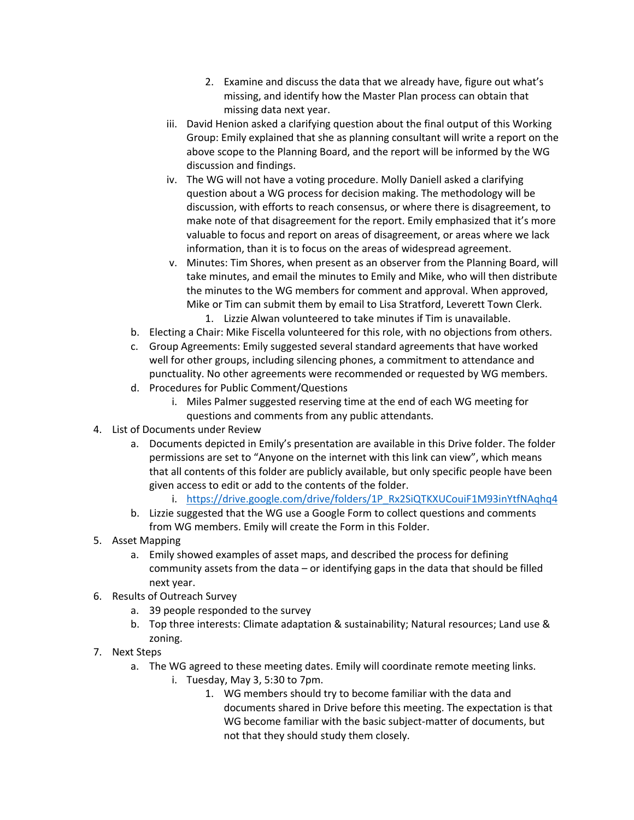- 2. Examine and discuss the data that we already have, figure out what's missing, and identify how the Master Plan process can obtain that missing data next year.
- iii. David Henion asked a clarifying question about the final output of this Working Group: Emily explained that she as planning consultant will write a report on the above scope to the Planning Board, and the report will be informed by the WG discussion and findings.
- iv. The WG will not have a voting procedure. Molly Daniell asked a clarifying question about a WG process for decision making. The methodology will be discussion, with efforts to reach consensus, or where there is disagreement, to make note of that disagreement for the report. Emily emphasized that it's more valuable to focus and report on areas of disagreement, or areas where we lack information, than it is to focus on the areas of widespread agreement.
- v. Minutes: Tim Shores, when present as an observer from the Planning Board, will take minutes, and email the minutes to Emily and Mike, who will then distribute the minutes to the WG members for comment and approval. When approved, Mike or Tim can submit them by email to Lisa Stratford, Leverett Town Clerk.
	- 1. Lizzie Alwan volunteered to take minutes if Tim is unavailable.
- b. Electing a Chair: Mike Fiscella volunteered for this role, with no objections from others.
- c. Group Agreements: Emily suggested several standard agreements that have worked well for other groups, including silencing phones, a commitment to attendance and punctuality. No other agreements were recommended or requested by WG members.
- d. Procedures for Public Comment/Questions
	- i. Miles Palmer suggested reserving time at the end of each WG meeting for questions and comments from any public attendants.
- 4. List of Documents under Review
	- a. Documents depicted in Emily's presentation are available in this Drive folder. The folder permissions are set to "Anyone on the internet with this link can view", which means that all contents of this folder are publicly available, but only specific people have been given access to edit or add to the contents of the folder.
		- i. https://drive.google.com/drive/folders/1P\_Rx2SiQTKXUCouiF1M93inYtfNAqhq4
	- b. Lizzie suggested that the WG use a Google Form to collect questions and comments from WG members. Emily will create the Form in this Folder.
- 5. Asset Mapping
	- a. Emily showed examples of asset maps, and described the process for defining community assets from the data – or identifying gaps in the data that should be filled next year.
- 6. Results of Outreach Survey
	- a. 39 people responded to the survey
	- b. Top three interests: Climate adaptation & sustainability; Natural resources; Land use & zoning.
- 7. Next Steps
	- a. The WG agreed to these meeting dates. Emily will coordinate remote meeting links.
		- i. Tuesday, May 3, 5:30 to 7pm.
			- 1. WG members should try to become familiar with the data and documents shared in Drive before this meeting. The expectation is that WG become familiar with the basic subject-matter of documents, but not that they should study them closely.